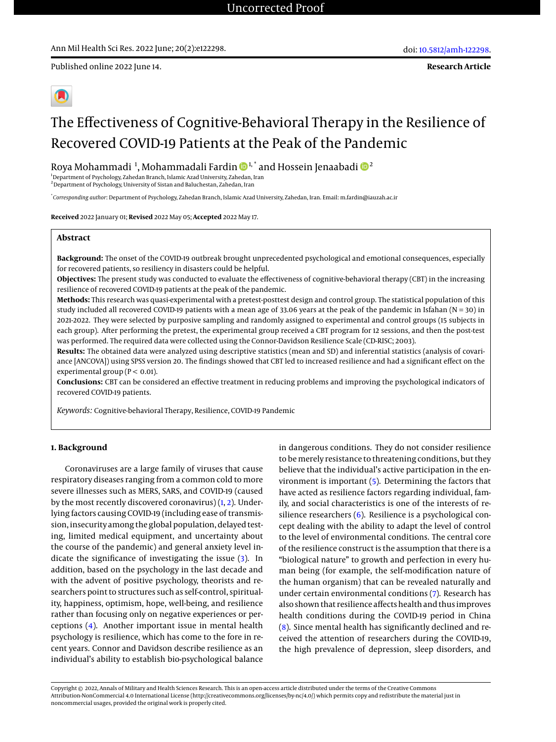Published online 2022 June 14.

**Research Article**

# The Effectiveness of Cognitive-Behavioral Therapy in the Resilience of Recovered COVID-19 Patients at the Peak of the Pandemic

Roya Mohammadi <sup>1</sup>, Mohammadali Fardin  $\mathbf{\Phi}^{1, *}$  and Hossein Jenaabadi  $\mathbf{\Phi}^{2}$ 

<sup>1</sup>Department of Psychology, Zahedan Branch, Islamic Azad University, Zahedan, Iran  $^{\rm 2}$ Department of Psychology, University of Sistan and Baluchestan, Zahedan, Iran

\* *Corresponding author*: Department of Psychology, Zahedan Branch, Islamic Azad University, Zahedan, Iran. Email: m.fardin@iauzah.ac.ir

**Received** 2022 January 01; **Revised** 2022 May 05; **Accepted** 2022 May 17.

# **Abstract**

**Background:** The onset of the COVID-19 outbreak brought unprecedented psychological and emotional consequences, especially for recovered patients, so resiliency in disasters could be helpful.

**Objectives:** The present study was conducted to evaluate the effectiveness of cognitive-behavioral therapy (CBT) in the increasing resilience of recovered COVID-19 patients at the peak of the pandemic.

**Methods:** This research was quasi-experimental with a pretest-posttest design and control group. The statistical population of this study included all recovered COVID-19 patients with a mean age of 33.06 years at the peak of the pandemic in Isfahan ( $N = 30$ ) in 2021-2022. They were selected by purposive sampling and randomly assigned to experimental and control groups (15 subjects in each group). After performing the pretest, the experimental group received a CBT program for 12 sessions, and then the post-test was performed. The required data were collected using the Connor-Davidson Resilience Scale (CD-RISC; 2003).

**Results:** The obtained data were analyzed using descriptive statistics (mean and SD) and inferential statistics (analysis of covariance [ANCOVA]) using SPSS version 20. The findings showed that CBT led to increased resilience and had a significant effect on the experimental group ( $P < 0.01$ ).

**Conclusions:** CBT can be considered an effective treatment in reducing problems and improving the psychological indicators of recovered COVID-19 patients.

*Keywords:* Cognitive-behavioral Therapy, Resilience, COVID-19 Pandemic

## **1. Background**

Coronaviruses are a large family of viruses that cause respiratory diseases ranging from a common cold to more severe illnesses such as MERS, SARS, and COVID-19 (caused by the most recently discovered coronavirus) [\(1,](#page-3-0) [2\)](#page-3-1). Underlying factors causing COVID-19 (including ease of transmission, insecurity among the global population, delayed testing, limited medical equipment, and uncertainty about the course of the pandemic) and general anxiety level indicate the significance of investigating the issue [\(3\)](#page-3-2). In addition, based on the psychology in the last decade and with the advent of positive psychology, theorists and researchers point to structures such as self-control, spirituality, happiness, optimism, hope, well-being, and resilience rather than focusing only on negative experiences or perceptions [\(4\)](#page-3-3). Another important issue in mental health psychology is resilience, which has come to the fore in recent years. Connor and Davidson describe resilience as an individual's ability to establish bio-psychological balance

in dangerous conditions. They do not consider resilience to be merely resistance to threatening conditions, but they believe that the individual's active participation in the environment is important [\(5\)](#page-3-4). Determining the factors that have acted as resilience factors regarding individual, family, and social characteristics is one of the interests of resilience researchers [\(6\)](#page-3-5). Resilience is a psychological concept dealing with the ability to adapt the level of control to the level of environmental conditions. The central core of the resilience construct is the assumption that there is a "biological nature" to growth and perfection in every human being (for example, the self-modification nature of the human organism) that can be revealed naturally and under certain environmental conditions [\(7\)](#page-3-6). Research has also shown that resilience affects health and thus improves health conditions during the COVID-19 period in China [\(8\)](#page-3-7). Since mental health has significantly declined and received the attention of researchers during the COVID-19, the high prevalence of depression, sleep disorders, and

Copyright © 2022, Annals of Military and Health Sciences Research. This is an open-access article distributed under the terms of the Creative Commons Attribution-NonCommercial 4.0 International License (http://creativecommons.org/licenses/by-nc/4.0/) which permits copy and redistribute the material just in noncommercial usages, provided the original work is properly cited.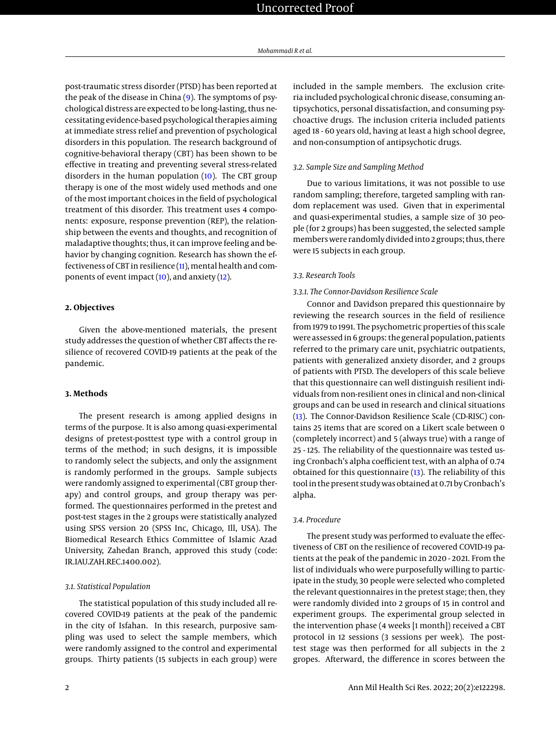post-traumatic stress disorder (PTSD) has been reported at the peak of the disease in China [\(9\)](#page-3-8). The symptoms of psychological distress are expected to be long-lasting, thus necessitating evidence-based psychological therapies aiming at immediate stress relief and prevention of psychological disorders in this population. The research background of cognitive-behavioral therapy (CBT) has been shown to be effective in treating and preventing several stress-related disorders in the human population  $(10)$ . The CBT group therapy is one of the most widely used methods and one of the most important choices in the field of psychological treatment of this disorder. This treatment uses 4 components: exposure, response prevention (REP), the relationship between the events and thoughts, and recognition of maladaptive thoughts; thus, it can improve feeling and behavior by changing cognition. Research has shown the effectiveness of CBT in resilience [\(11\)](#page-4-0), mental health and components of event impact [\(10\)](#page-3-9), and anxiety [\(12\)](#page-4-1).

# **2. Objectives**

Given the above-mentioned materials, the present study addresses the question of whether CBT affects the resilience of recovered COVID-19 patients at the peak of the pandemic.

## **3. Methods**

The present research is among applied designs in terms of the purpose. It is also among quasi-experimental designs of pretest-posttest type with a control group in terms of the method; in such designs, it is impossible to randomly select the subjects, and only the assignment is randomly performed in the groups. Sample subjects were randomly assigned to experimental (CBT group therapy) and control groups, and group therapy was performed. The questionnaires performed in the pretest and post-test stages in the 2 groups were statistically analyzed using SPSS version 20 (SPSS Inc, Chicago, Ill, USA). The Biomedical Research Ethics Committee of Islamic Azad University, Zahedan Branch, approved this study (code: IR.IAU.ZAH.REC.1400.002).

#### *3.1. Statistical Population*

The statistical population of this study included all recovered COVID-19 patients at the peak of the pandemic in the city of Isfahan. In this research, purposive sampling was used to select the sample members, which were randomly assigned to the control and experimental groups. Thirty patients (15 subjects in each group) were included in the sample members. The exclusion criteria included psychological chronic disease, consuming antipsychotics, personal dissatisfaction, and consuming psychoactive drugs. The inclusion criteria included patients aged 18 - 60 years old, having at least a high school degree, and non-consumption of antipsychotic drugs.

#### *3.2. Sample Size and Sampling Method*

Due to various limitations, it was not possible to use random sampling; therefore, targeted sampling with random replacement was used. Given that in experimental and quasi-experimental studies, a sample size of 30 people (for 2 groups) has been suggested, the selected sample members were randomly divided into 2 groups; thus, there were 15 subjects in each group.

# *3.3. Research Tools*

## *3.3.1. The Connor-Davidson Resilience Scale*

Connor and Davidson prepared this questionnaire by reviewing the research sources in the field of resilience from 1979 to 1991. The psychometric properties of this scale were assessed in 6 groups: the general population, patients referred to the primary care unit, psychiatric outpatients, patients with generalized anxiety disorder, and 2 groups of patients with PTSD. The developers of this scale believe that this questionnaire can well distinguish resilient individuals from non-resilient ones in clinical and non-clinical groups and can be used in research and clinical situations [\(13\)](#page-4-2). The Connor-Davidson Resilience Scale (CD-RISC) contains 25 items that are scored on a Likert scale between 0 (completely incorrect) and 5 (always true) with a range of 25 - 125. The reliability of the questionnaire was tested using Cronbach's alpha coefficient test, with an alpha of 0.74 obtained for this questionnaire [\(13\)](#page-4-2). The reliability of this tool in the present study was obtained at 0.71 by Cronbach's alpha.

#### *3.4. Procedure*

The present study was performed to evaluate the effectiveness of CBT on the resilience of recovered COVID-19 patients at the peak of the pandemic in 2020 - 2021. From the list of individuals who were purposefully willing to participate in the study, 30 people were selected who completed the relevant questionnaires in the pretest stage; then, they were randomly divided into 2 groups of 15 in control and experiment groups. The experimental group selected in the intervention phase (4 weeks [1 month]) received a CBT protocol in 12 sessions (3 sessions per week). The posttest stage was then performed for all subjects in the 2 gropes. Afterward, the difference in scores between the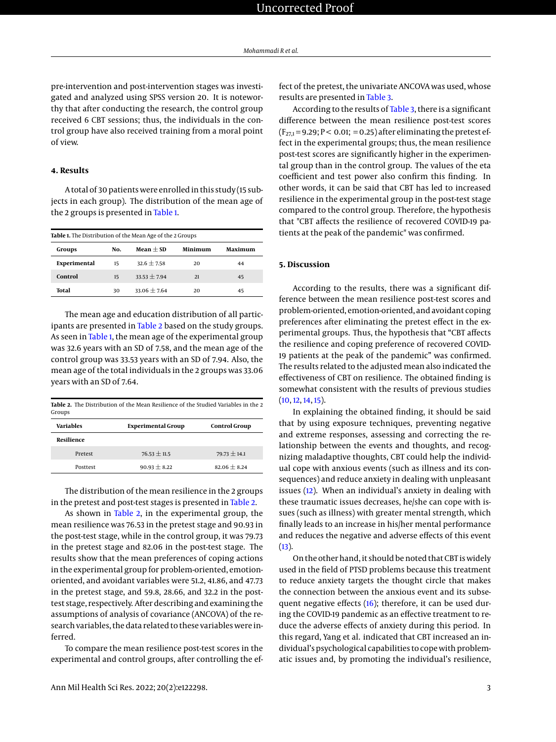pre-intervention and post-intervention stages was investigated and analyzed using SPSS version 20. It is noteworthy that after conducting the research, the control group received 6 CBT sessions; thus, the individuals in the control group have also received training from a moral point of view.

#### **4. Results**

A total of 30 patients were enrolled in this study (15 subjects in each group). The distribution of the mean age of the 2 groups is presented in [Table 1.](#page-2-0)

<span id="page-2-0"></span>

| Table 1. The Distribution of the Mean Age of the 2 Groups |     |                 |         |         |  |  |  |
|-----------------------------------------------------------|-----|-----------------|---------|---------|--|--|--|
| Groups                                                    | No. | Mean $\pm$ SD   | Minimum | Maximum |  |  |  |
| Experimental                                              | 15  | $32.6 \pm 7.58$ | 20      | 44      |  |  |  |
| Control                                                   | 15  | $33.53 + 7.94$  | 21      | 45      |  |  |  |
| Total                                                     | 30  | $33.06 + 7.64$  | 20      | 45      |  |  |  |

The mean age and education distribution of all participants are presented in [Table 2](#page-2-1) based on the study groups. As seen in [Table 1,](#page-2-0) the mean age of the experimental group was 32.6 years with an SD of 7.58, and the mean age of the control group was 33.53 years with an SD of 7.94. Also, the mean age of the total individuals in the 2 groups was 33.06 years with an SD of 7.64.

<span id="page-2-1"></span>

| <b>Table 2.</b> The Distribution of the Mean Resilience of the Studied Variables in the 2<br>Groups |                           |                      |  |  |  |
|-----------------------------------------------------------------------------------------------------|---------------------------|----------------------|--|--|--|
| Variables                                                                                           | <b>Experimental Group</b> | <b>Control Group</b> |  |  |  |
| Resilience                                                                                          |                           |                      |  |  |  |
| Pretest                                                                                             | $76.53 \pm 11.5$          | $79.73 \pm 14.1$     |  |  |  |
| Posttest                                                                                            | $90.93 + 8.22$            | $82.06 + 8.24$       |  |  |  |

The distribution of the mean resilience in the 2 groups in the pretest and post-test stages is presented in [Table 2.](#page-2-1)

As shown in [Table 2,](#page-2-1) in the experimental group, the mean resilience was 76.53 in the pretest stage and 90.93 in the post-test stage, while in the control group, it was 79.73 in the pretest stage and 82.06 in the post-test stage. The results show that the mean preferences of coping actions in the experimental group for problem-oriented, emotionoriented, and avoidant variables were 51.2, 41.86, and 47.73 in the pretest stage, and 59.8, 28.66, and 32.2 in the posttest stage, respectively. After describing and examining the assumptions of analysis of covariance (ANCOVA) of the research variables, the data related to these variables were inferred.

To compare the mean resilience post-test scores in the experimental and control groups, after controlling the ef-

According to the results of [Table 3,](#page-3-10) there is a significant difference between the mean resilience post-test scores  $(F_{27,1} = 9.29; P < 0.01; = 0.25)$  after eliminating the pretest effect in the experimental groups; thus, the mean resilience post-test scores are significantly higher in the experimental group than in the control group. The values of the eta coefficient and test power also confirm this finding. In other words, it can be said that CBT has led to increased resilience in the experimental group in the post-test stage compared to the control group. Therefore, the hypothesis that "CBT affects the resilience of recovered COVID-19 patients at the peak of the pandemic" was confirmed.

## **5. Discussion**

According to the results, there was a significant difference between the mean resilience post-test scores and problem-oriented, emotion-oriented, and avoidant coping preferences after eliminating the pretest effect in the experimental groups. Thus, the hypothesis that "CBT affects the resilience and coping preference of recovered COVID-19 patients at the peak of the pandemic" was confirmed. The results related to the adjusted mean also indicated the effectiveness of CBT on resilience. The obtained finding is somewhat consistent with the results of previous studies  $(10, 12, 14, 15)$  $(10, 12, 14, 15)$  $(10, 12, 14, 15)$  $(10, 12, 14, 15)$  $(10, 12, 14, 15)$  $(10, 12, 14, 15)$  $(10, 12, 14, 15)$ .

In explaining the obtained finding, it should be said that by using exposure techniques, preventing negative and extreme responses, assessing and correcting the relationship between the events and thoughts, and recognizing maladaptive thoughts, CBT could help the individual cope with anxious events (such as illness and its consequences) and reduce anxiety in dealing with unpleasant issues [\(12\)](#page-4-1). When an individual's anxiety in dealing with these traumatic issues decreases, he/she can cope with issues (such as illness) with greater mental strength, which finally leads to an increase in his/her mental performance and reduces the negative and adverse effects of this event  $(13).$  $(13).$ 

On the other hand, it should be noted that CBT is widely used in the field of PTSD problems because this treatment to reduce anxiety targets the thought circle that makes the connection between the anxious event and its subsequent negative effects [\(16\)](#page-4-5); therefore, it can be used during the COVID-19 pandemic as an effective treatment to reduce the adverse effects of anxiety during this period. In this regard, Yang et al. indicated that CBT increased an individual's psychological capabilities to cope with problematic issues and, by promoting the individual's resilience,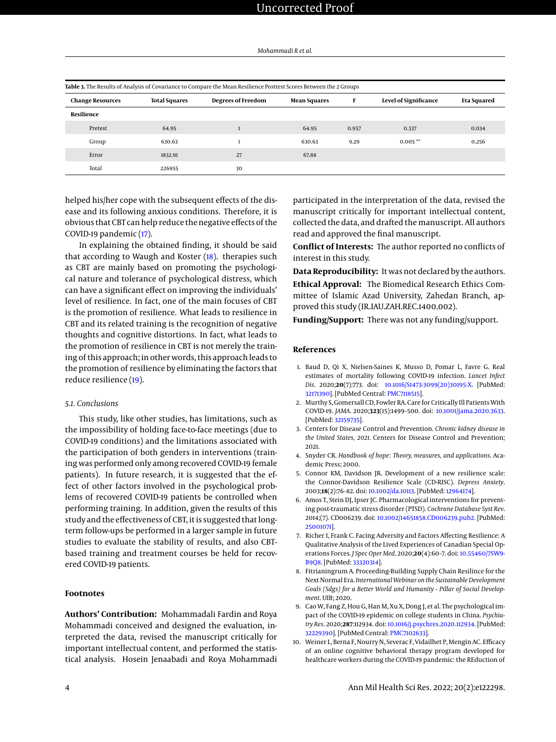<span id="page-3-10"></span>

| Table 3. The Results of Analysis of Covariance to Compare the Mean Resilience Posttest Scores Between the 2 Groups |                      |                           |                     |       |                       |             |  |  |
|--------------------------------------------------------------------------------------------------------------------|----------------------|---------------------------|---------------------|-------|-----------------------|-------------|--|--|
| <b>Change Resources</b>                                                                                            | <b>Total Squares</b> | <b>Degrees of Freedom</b> | <b>Mean Squares</b> | F     | Level of Significance | Eta Squared |  |  |
| Resilience                                                                                                         |                      |                           |                     |       |                       |             |  |  |
| Pretest                                                                                                            | 64.95                |                           | 64.95               | 0.957 | 0.337                 | 0.034       |  |  |
| Group                                                                                                              | 630.63               |                           | 630.63              | 9.29  | $0.005**$             | 0.256       |  |  |
| Error                                                                                                              | 1832.91              | 27                        | 67.88               |       |                       |             |  |  |
| Total                                                                                                              | 226955               | 30                        |                     |       |                       |             |  |  |

helped his/her cope with the subsequent effects of the disease and its following anxious conditions. Therefore, it is obvious that CBT can help reduce the negative effects of the COVID-19 pandemic [\(17\)](#page-4-6).

In explaining the obtained finding, it should be said that according to Waugh and Koster [\(18\)](#page-4-7). therapies such as CBT are mainly based on promoting the psychological nature and tolerance of psychological distress, which can have a significant effect on improving the individuals' level of resilience. In fact, one of the main focuses of CBT is the promotion of resilience. What leads to resilience in CBT and its related training is the recognition of negative thoughts and cognitive distortions. In fact, what leads to the promotion of resilience in CBT is not merely the training of this approach; in other words, this approach leads to the promotion of resilience by eliminating the factors that reduce resilience [\(19\)](#page-4-8).

## *5.1. Conclusions*

This study, like other studies, has limitations, such as the impossibility of holding face-to-face meetings (due to COVID-19 conditions) and the limitations associated with the participation of both genders in interventions (training was performed only among recovered COVID-19 female patients). In future research, it is suggested that the effect of other factors involved in the psychological problems of recovered COVID-19 patients be controlled when performing training. In addition, given the results of this study and the effectiveness of CBT, it is suggested that longterm follow-ups be performed in a larger sample in future studies to evaluate the stability of results, and also CBTbased training and treatment courses be held for recovered COVID-19 patients.

## **Footnotes**

**Authors' Contribution:** Mohammadali Fardin and Roya Mohammadi conceived and designed the evaluation, interpreted the data, revised the manuscript critically for important intellectual content, and performed the statistical analysis. Hosein Jenaabadi and Roya Mohammadi participated in the interpretation of the data, revised the manuscript critically for important intellectual content, collected the data, and drafted the manuscript. All authors read and approved the final manuscript.

**Conflict of Interests:** The author reported no conflicts of interest in this study.

**Data Reproducibility:** It was not declared by the authors. **Ethical Approval:** The Biomedical Research Ethics Committee of Islamic Azad University, Zahedan Branch, approved this study (IR.IAU.ZAH.REC.1400.002).

**Funding/Support:** There was not any funding/support.

## **References**

- <span id="page-3-0"></span>1. Baud D, Qi X, Nielsen-Saines K, Musso D, Pomar L, Favre G. Real estimates of mortality following COVID-19 infection. *Lancet Infect Dis*. 2020;**20**(7):773. doi: [10.1016/S1473-3099\(20\)30195-X.](http://dx.doi.org/10.1016/S1473-3099(20)30195-X) [PubMed: [32171390\]](http://www.ncbi.nlm.nih.gov/pubmed/32171390). [PubMed Central: [PMC7118515\]](https://www.ncbi.nlm.nih.gov/pmc/articles/PMC7118515).
- <span id="page-3-1"></span>2. Murthy S, Gomersall CD, Fowler RA. Care for Critically Ill Patients With COVID-19. *JAMA*. 2020;**323**(15):1499–500. doi: [10.1001/jama.2020.3633.](http://dx.doi.org/10.1001/jama.2020.3633) [PubMed: [32159735\]](http://www.ncbi.nlm.nih.gov/pubmed/32159735).
- <span id="page-3-2"></span>3. Centers for Disease Control and Prevention. *Chronic kidney disease in the United States, 2021*. Centers for Disease Control and Prevention; 2021.
- <span id="page-3-3"></span>4. Snyder CR. *Handbook of hope: Theory, measures, and applications*. Academic Press; 2000.
- <span id="page-3-4"></span>5. Connor KM, Davidson JR. Development of a new resilience scale: the Connor-Davidson Resilience Scale (CD-RISC). *Depress Anxiety*. 2003;**18**(2):76–82. doi: [10.1002/da.10113.](http://dx.doi.org/10.1002/da.10113) [PubMed: [12964174\]](http://www.ncbi.nlm.nih.gov/pubmed/12964174).
- <span id="page-3-5"></span>6. Amos T, Stein DJ, Ipser JC. Pharmacological interventions for preventing post-traumatic stress disorder (PTSD). *Cochrane Database Syst Rev*. 2014;(7). CD006239. doi: [10.1002/14651858.CD006239.pub2.](http://dx.doi.org/10.1002/14651858.CD006239.pub2) [PubMed: [25001071\]](http://www.ncbi.nlm.nih.gov/pubmed/25001071).
- <span id="page-3-6"></span>7. Richer I, Frank C. Facing Adversity and Factors Affecting Resilience: A Qualitative Analysis of the Lived Experiences of Canadian Special Operations Forces. *J Spec Oper Med*. 2020;**20**(4):60–7. doi: [10.55460/7SW9-](http://dx.doi.org/10.55460/7SW9-B9Q8) [B9Q8.](http://dx.doi.org/10.55460/7SW9-B9Q8) [PubMed: [33320314\]](http://www.ncbi.nlm.nih.gov/pubmed/33320314).
- <span id="page-3-7"></span>8. Fitrianingrum A. Proceeding-Building Supply Chain Resilince for the Next Normal Era. *International Webinar on the Sustainable Development Goals (Sdgs) for a Better World and Humanity - Pillar of Social Development*. UIB; 2020.
- <span id="page-3-8"></span>9. Cao W, Fang Z, Hou G, Han M, Xu X, Dong J, et al. The psychological impact of the COVID-19 epidemic on college students in China. *Psychiatry Res*. 2020;**287**:112934. doi: [10.1016/j.psychres.2020.112934.](http://dx.doi.org/10.1016/j.psychres.2020.112934) [PubMed: [32229390\]](http://www.ncbi.nlm.nih.gov/pubmed/32229390). [PubMed Central: [PMC7102633\]](https://www.ncbi.nlm.nih.gov/pmc/articles/PMC7102633).
- <span id="page-3-9"></span>10. Weiner L, Berna F, Nourry N, Severac F, Vidailhet P, Mengin AC. Efficacy of an online cognitive behavioral therapy program developed for healthcare workers during the COVID-19 pandemic: the REduction of